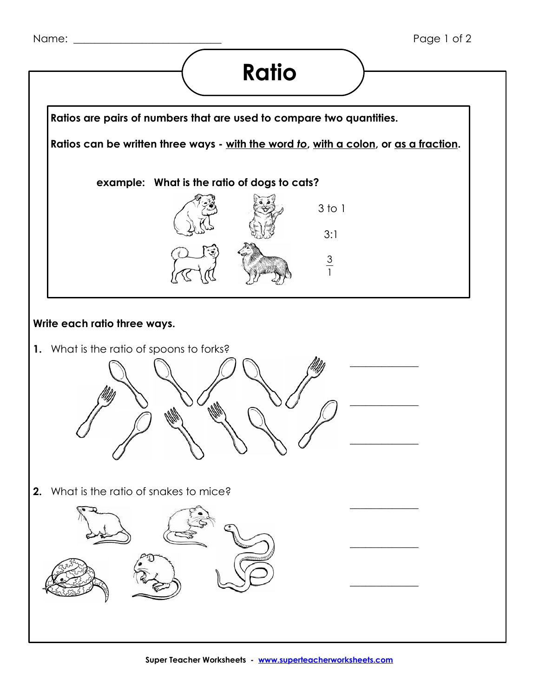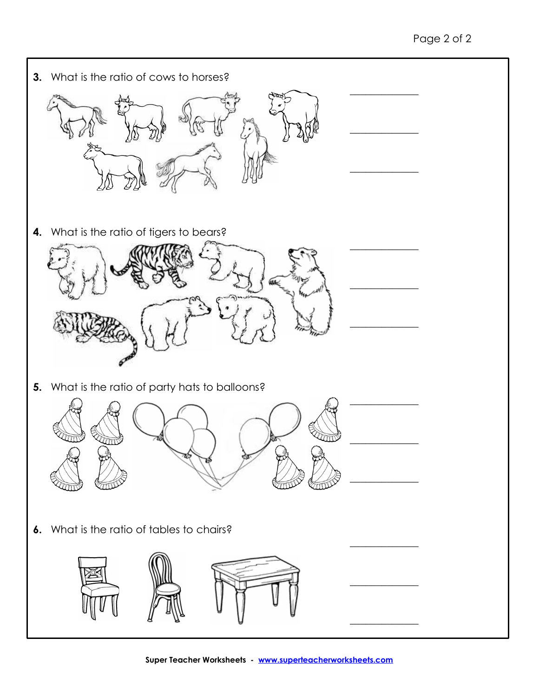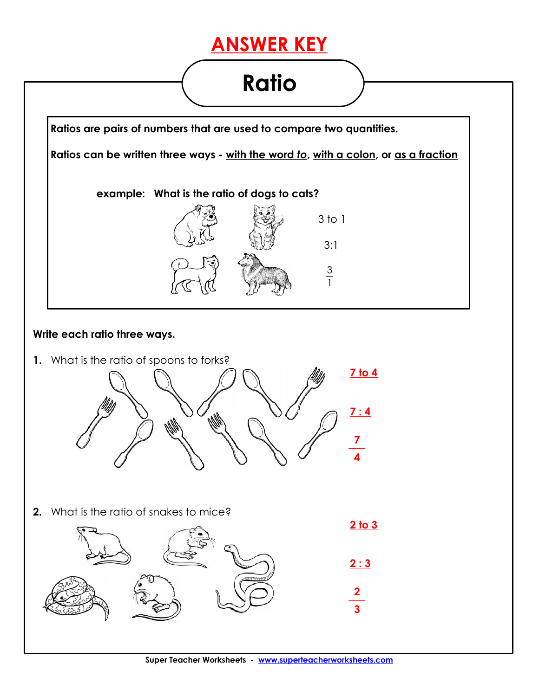## **ANSWER KEY**

## **Ratio**

1



## **Write each ratio three ways.**

**1.** What is the ratio of spoons to forks?



**2.** What is the ratio of snakes to mice?